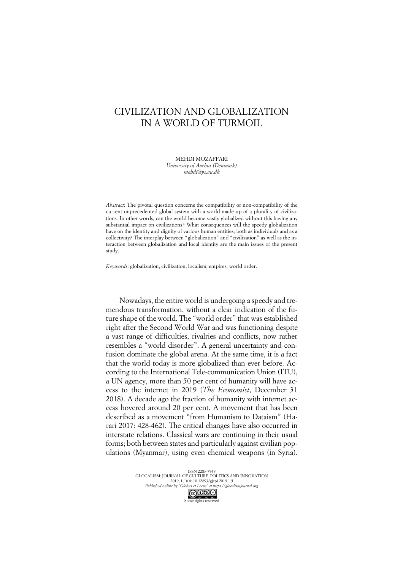# CIVILIZATION AND GLOBALIZATION IN A WORLD OF TURMOIL

MEHDI MOZAFFARI *University of Aarhus (Denmark)*

*mehdi@ps.au.dk*

*Abstract*: The pivotal question concerns the compatibility or non-compatibility of the current unprecedented global system with a world made up of a plurality of civilizations. In other words, can the world become vastly globalized without this having any substantial impact on civilizations? What consequences will the speedy globalization have on the identity and dignity of various human entities; both as individuals and as a collectivity? The interplay between "globalization" and "civilization" as well as the interaction between globalization and local identity are the main issues of the present study.

*Keywords*: globalization, civilization, localism, empires, world order.

Nowadays, the entire world is undergoing a speedy and tremendous transformation, without a clear indication of the future shape of the world. The "world order" that was established right after the Second World War and was functioning despite a vast range of difficulties, rivalries and conflicts, now rather resembles a "world disorder". A general uncertainty and confusion dominate the global arena. At the same time, it is a fact that the world today is more globalized than ever before. According to the International Tele-communication Union (ITU), a UN agency, more than 50 per cent of humanity will have access to the internet in 2019 (*The Economist*, December 31 2018). A decade ago the fraction of humanity with internet access hovered around 20 per cent. A movement that has been described as a movement "from Humanism to Dataism" (Harari 2017: 428-462). The critical changes have also occurred in interstate relations. Classical wars are continuing in their usual forms; both between states and particularly against civilian populations (Myanmar), using even chemical weapons (in Syria).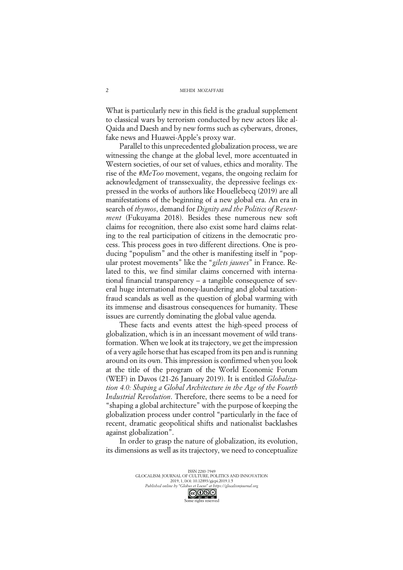What is particularly new in this field is the gradual supplement to classical wars by terrorism conducted by new actors like al-Qaida and Daesh and by new forms such as cyberwars, drones, fake news and Huawei-Apple's proxy war.

Parallel to this unprecedented globalization process, we are witnessing the change at the global level, more accentuated in Western societies, of our set of values, ethics and morality. The rise of the *#MeToo* movement, vegans, the ongoing reclaim for acknowledgment of transsexuality, the depressive feelings expressed in the works of authors like Houellebecq (2019) are all manifestations of the beginning of a new global era. An era in search of *thymos*, demand for *Dignity and the Politics of Resentment* (Fukuyama 2018). Besides these numerous new soft claims for recognition, there also exist some hard claims relating to the real participation of citizens in the democratic process. This process goes in two different directions. One is producing "populism" and the other is manifesting itself in "popular protest movements" like the "*gilets jaunes*" in France. Related to this, we find similar claims concerned with international financial transparency – a tangible consequence of several huge international money-laundering and global taxationfraud scandals as well as the question of global warming with its immense and disastrous consequences for humanity. These issues are currently dominating the global value agenda.

These facts and events attest the high-speed process of globalization, which is in an incessant movement of wild transformation. When we look at its trajectory, we get the impression of a very agile horse that has escaped from its pen and isrunning around on its own. This impression is confirmed when you look at the title of the program of the World Economic Forum (WEF) in Davos (21-26 January 2019). It is entitled *Globalization 4.0: Shaping a Global Architecture in the Age of the Fourth Industrial Revolution*. Therefore, there seems to be a need for "shaping a global architecture" with the purpose of keeping the globalization process under control "particularly in the face of recent, dramatic geopolitical shifts and nationalist backlashes against globalization".

In order to grasp the nature of globalization, its evolution, its dimensions as well as its trajectory, we need to conceptualize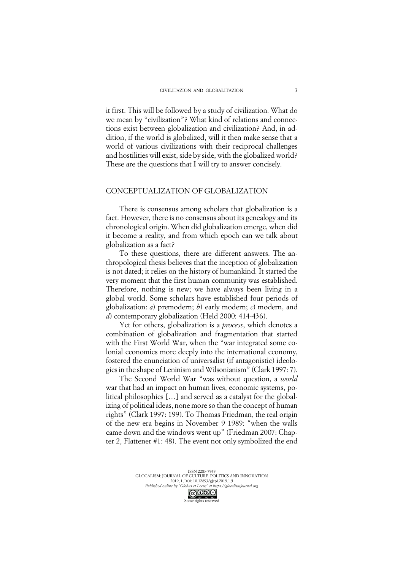it first. This will be followed by a study of civilization. What do we mean by "civilization"? What kind of relations and connections exist between globalization and civilization? And, in addition, if the world is globalized, will it then make sense that a world of various civilizations with their reciprocal challenges and hostilities will exist, side by side, with the globalized world? These are the questions that I will try to answer concisely.

## CONCEPTUALIZATION OF GLOBALIZATION

There is consensus among scholars that globalization is a fact. However, there is no consensus about its genealogy and its chronological origin. When did globalization emerge, when did it become a reality, and from which epoch can we talk about globalization as a fact?

To these questions, there are different answers. The anthropological thesis believes that the inception of globalization is not dated; it relies on the history of humankind. It started the very moment that the first human community was established. Therefore, nothing is new; we have always been living in a global world. Some scholars have established four periods of globalization: *a*) premodern; *b*) early modern; *c*) modern, and *d*) contemporary globalization (Held 2000: 414-436).

Yet for others, globalization is a *process*, which denotes a combination of globalization and fragmentation that started with the First World War, when the "war integrated some colonial economies more deeply into the international economy, fostered the enunciation of universalist (if antagonistic) ideologiesin the shape of Leninism and Wilsonianism" (Clark 1997: 7).

The Second World War "was without question, a *world* war that had an impact on human lives, economic systems, political philosophies […] and served as a catalyst for the globalizing of political ideas, none more so than the concept of human rights" (Clark 1997: 199). To Thomas Friedman, the real origin of the new era begins in November 9 1989: "when the walls came down and the windows went up" (Friedman 2007: Chapter 2, Flattener #1: 48). The event not only symbolized the end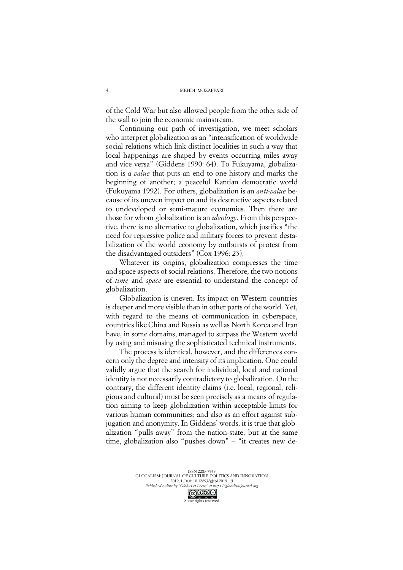of the Cold War but also allowed people from the other side of the wall to join the economic mainstream.

Continuing our path of investigation, we meet scholars who interpret globalization as an "intensification of worldwide social relations which link distinct localities in such a way that local happenings are shaped by events occurring miles away and vice versa" (Giddens 1990: 64). To Fukuyama, globalization is a *value* that puts an end to one history and marks the beginning of another; a peaceful Kantian democratic world (Fukuyama 1992). For others, globalization is an *anti-value* because of its uneven impact on and its destructive aspects related to undeveloped or semi-mature economies. Then there are those for whom globalization is an *ideology*. From this perspective, there is no alternative to globalization, which justifies "the need for repressive police and military forces to prevent destabilization of the world economy by outbursts of protest from the disadvantaged outsiders" (Cox 1996: 23).

Whatever its origins, globalization compresses the time and space aspects of social relations. Therefore, the two notions of *time* and *space* are essential to understand the concept of globalization.

Globalization is uneven. Its impact on Western countries is deeper and more visible than in other parts of the world. Yet, with regard to the means of communication in cyberspace, countries like China and Russia as well as North Korea and Iran have, in some domains, managed to surpass the Western world by using and misusing the sophisticated technical instruments.

The process is identical, however, and the differences concern only the degree and intensity of its implication. One could validly argue that the search for individual, local and national identity is not necessarily contradictory to globalization. On the contrary, the different identity claims (i.e. local, regional, religious and cultural) must be seen precisely as a means of regulation aiming to keep globalization within acceptable limits for various human communities; and also as an effort against subjugation and anonymity. In Giddens' words, it is true that globalization "pulls away" from the nation-state, but at the same time, globalization also "pushes down" - "it creates new de-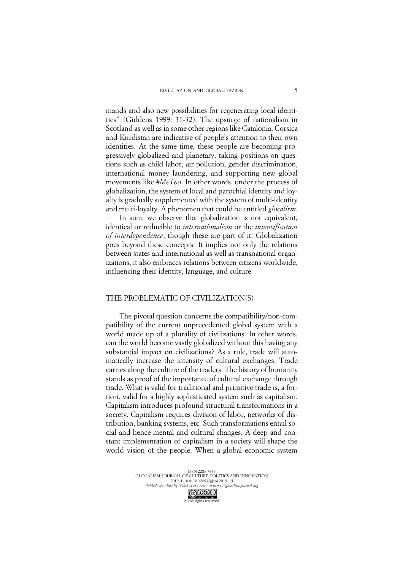mands and also new possibilities for regenerating local identities" (Giddens 1999: 31-32). The upsurge of nationalism in Scotland as well as in some other regions like Catalonia, Corsica and Kurdistan are indicative of people's attention to their own identities. At the same time, these people are becoming progressively globalized and planetary, taking positions on questions such as child labor, air pollution, gender discrimination, international money laundering, and supporting new global movements like *#MeToo*. In other words, under the process of globalization, the system of local and parochial identity and loyalty is gradually supplemented with the system of multi-identity and multi-loyalty. A phenomen that could be entitled *glocalism*.

In sum, we observe that globalization is not equivalent, identical or reducible to *internationalism* or the *intensification of interdependence*, though these are part of it. Globalization goes beyond these concepts. It implies not only the relations between states and international as well as transnational organizations, it also embraces relations between citizens worldwide, influencing their identity, language, and culture.

### THE PROBLEMATIC OF CIVILIZATION(S)

The pivotal question concerns the compatibility/non-compatibility of the current unprecedented global system with a world made up of a plurality of civilizations. In other words, can the world become vastly globalized without this having any substantial impact on civilizations? As a rule, trade will automatically increase the intensity of cultural exchanges. Trade carries along the culture of the traders. The history of humanity stands as proof of the importance of cultural exchange through trade. What is valid for traditional and primitive trade is, a fortiori, valid for a highly sophisticated system such as capitalism. Capitalism introduces profound structural transformations in a society. Capitalism requires division of labor, networks of distribution, banking systems, etc. Such transformations entail social and hence mental and cultural changes. A deep and constant implementation of capitalism in a society will shape the world vision of the people. When a global economic system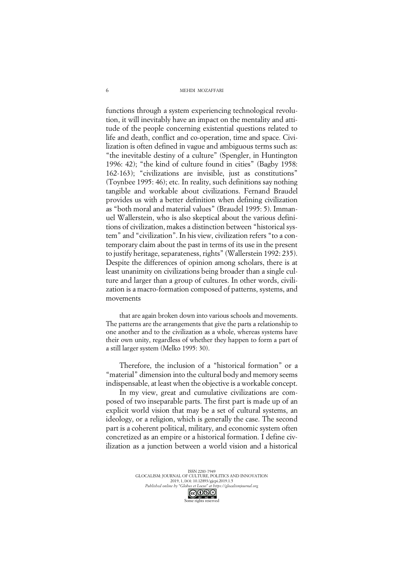MEHDI MOZAFFARI

functions through a system experiencing technological revolution, it will inevitably have an impact on the mentality and attitude of the people concerning existential questions related to life and death, conflict and co-operation, time and space. Civilization is often defined in vague and ambiguous terms such as: "the inevitable destiny of a culture" (Spengler, in Huntington 1996: 42); "the kind of culture found in cities" (Bagby 1958: 162-163); "civilizations are invisible, just as constitutions" (Toynbee 1995: 46); etc. In reality, such definitions say nothing tangible and workable about civilizations. Fernand Braudel provides us with a better definition when defining civilization as "both moral and material values" (Braudel 1995: 5). Immanuel Wallerstein, who is also skeptical about the various definitions of civilization, makes a distinction between "historical system" and "civilization". In his view, civilization refers "to a contemporary claim about the past in terms of its use in the present to justify heritage, separateness, rights" (Wallerstein 1992: 235). Despite the differences of opinion among scholars, there is at least unanimity on civilizations being broader than a single culture and larger than a group of cultures. In other words, civilization is a macro-formation composed of patterns, systems, and movements

that are again broken down into various schools and movements. The patterns are the arrangements that give the parts a relationship to one another and to the civilization as a whole, whereas systems have their own unity, regardless of whether they happen to form a part of a still larger system (Melko 1995: 30).

Therefore, the inclusion of a "historical formation" or a "material" dimension into the cultural body and memory seems indispensable, at least when the objective is a workable concept.

In my view, great and cumulative civilizations are composed of two inseparable parts. The first part is made up of an explicit world vision that may be a set of cultural systems, an ideology, or a religion, which is generally the case. The second part is a coherent political, military, and economic system often concretized as an empire or a historical formation. I define civilization as a junction between a world vision and a historical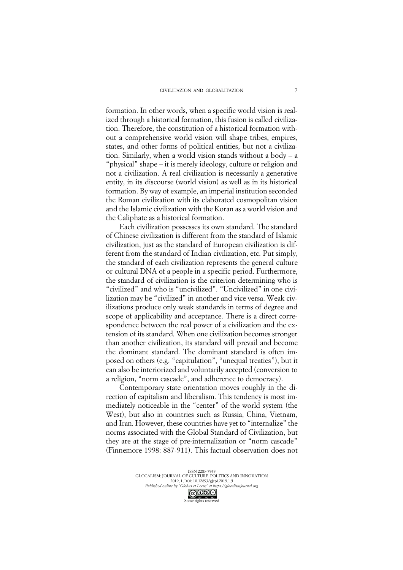formation. In other words, when a specific world vision is realized through a historical formation, this fusion is called civilization. Therefore, the constitution of a historical formation without a comprehensive world vision will shape tribes, empires, states, and other forms of political entities, but not a civilization. Similarly, when a world vision stands without a body –a "physical" shape – it is merely ideology, culture or religion and not a civilization. A real civilization is necessarily a generative entity, in its discourse (world vision) as well as in its historical formation. By way of example, an imperial institution seconded the Roman civilization with its elaborated cosmopolitan vision and the Islamic civilization with the Koran as a world vision and the Caliphate as a historical formation.

Each civilization possesses its own standard. The standard of Chinese civilization is different from the standard of Islamic civilization, just as the standard of European civilization is different from the standard of Indian civilization, etc. Put simply, the standard of each civilization represents the general culture or cultural DNA of a people in a specific period. Furthermore, the standard of civilization is the criterion determining who is "civilized" and who is "uncivilized". "Uncivilized" in one civilization may be "civilized" in another and vice versa. Weak civilizations produce only weak standards in terms of degree and scope of applicability and acceptance. There is a direct correspondence between the real power of a civilization and the extension of its standard. When one civilization becomes stronger than another civilization, its standard will prevail and become the dominant standard. The dominant standard is often imposed on others (e.g. "capitulation", "unequal treaties"), but it can also be interiorized and voluntarily accepted (conversion to a religion, "norm cascade", and adherence to democracy).

Contemporary state orientation moves roughly in the direction of capitalism and liberalism. This tendency is most immediately noticeable in the "center" of the world system (the West), but also in countries such as Russia, China, Vietnam, and Iran. However, these countries have yet to "internalize" the norms associated with the Global Standard of Civilization, but they are at the stage of pre-internalization or "norm cascade" (Finnemore 1998: 887-911). This factual observation does not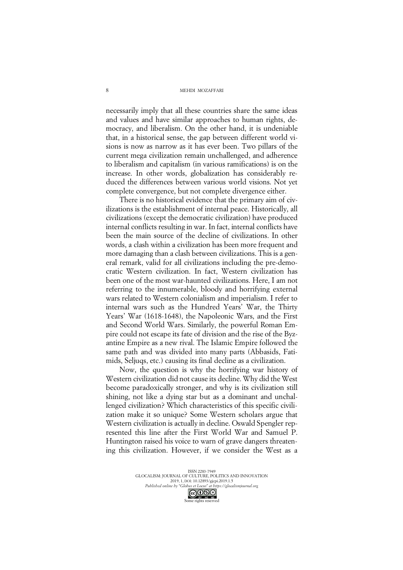necessarily imply that all these countries share the same ideas and values and have similar approaches to human rights, democracy, and liberalism. On the other hand, it is undeniable that, in a historical sense, the gap between different world visions is now as narrow as it has ever been. Two pillars of the current mega civilization remain unchallenged, and adherence to liberalism and capitalism (in various ramifications) is on the increase. In other words, globalization has considerably reduced the differences between various world visions. Not yet complete convergence, but not complete divergence either.

There is no historical evidence that the primary aim of civilizations is the establishment of internal peace. Historically, all civilizations (except the democratic civilization) have produced internal conflicts resulting in war. In fact, internal conflicts have been the main source of the decline of civilizations. In other words, a clash within a civilization has been more frequent and more damaging than a clash between civilizations. This is a general remark, valid for all civilizations including the pre-democratic Western civilization. In fact, Western civilization has been one of the most war-haunted civilizations. Here, I am not referring to the innumerable, bloody and horrifying external wars related to Western colonialism and imperialism. I refer to internal wars such as the Hundred Years' War, the Thirty Years' War (1618-1648), the Napoleonic Wars, and the First and Second World Wars. Similarly, the powerful Roman Empire could not escape its fate of division and the rise of the Byzantine Empire as a new rival. The Islamic Empire followed the same path and was divided into many parts (Abbasids, Fatimids, Seljuqs, etc.) causing its final decline as a civilization.

Now, the question is why the horrifying war history of Western civilization did not cause its decline. Why did the West become paradoxically stronger, and why is its civilization still shining, not like a dying star but as a dominant and unchallenged civilization? Which characteristics of this specific civilization make it so unique? Some Western scholars argue that Western civilization is actually in decline. Oswald Spengler represented this line after the First World War and Samuel P. Huntington raised his voice to warn of grave dangers threatening this civilization. However, if we consider the West as a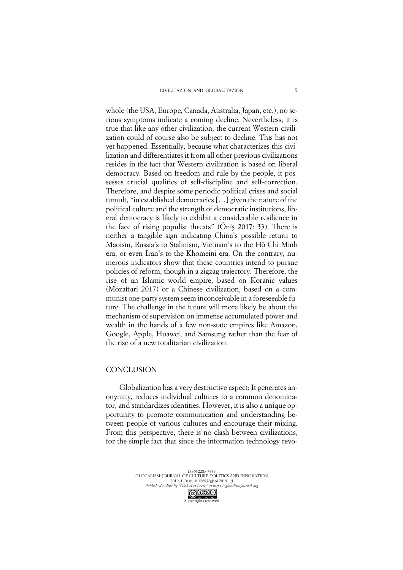whole (the USA, Europe, Canada, Australia, Japan, etc.), no serious symptoms indicate a coming decline. Nevertheless, it is true that like any other civilization, the current Western civilization could of course also be subject to decline. This has not yet happened. Essentially, because what characterizes this civilization and differentiates it from all other previous civilizations resides in the fact that Western civilization is based on liberal democracy. Based on freedom and rule by the people, it possesses crucial qualities of self-discipline and self-correction. Therefore, and despite some periodic political crises and social tumult, "in established democracies[…] given the nature of the political culture and the strength of democratic institutions, liberal democracy is likely to exhibit a considerable resilience in the face of rising populist threats" (Öniş 2017: 33). There is neither a tangible sign indicating China's possible return to Maoism, Russia's to Stalinism, Vietnam's to the Hô Chi Minh era, or even Iran's to the Khomeini era. On the contrary, numerous indicators show that these countries intend to pursue policies of reform, though in a zigzag trajectory. Therefore, the rise of an Islamic world empire, based on Koranic values (Mozaffari 2017) or a Chinese civilization, based on a communist one-party system seem inconceivable in a foreseeable future. The challenge in the future will more likely be about the mechanism of supervision on immense accumulated power and wealth in the hands of a few non-state empires like Amazon, Google, Apple, Huawei, and Samsung rather than the fear of the rise of a new totalitarian civilization.

## **CONCLUSION**

Globalization has a very destructive aspect: It generates anonymity, reduces individual cultures to a common denominator, and standardizes identities. However, it is also a unique opportunity to promote communication and understanding between people of various cultures and encourage their mixing. From this perspective, there is no clash between civilizations, for the simple fact that since the information technology revo-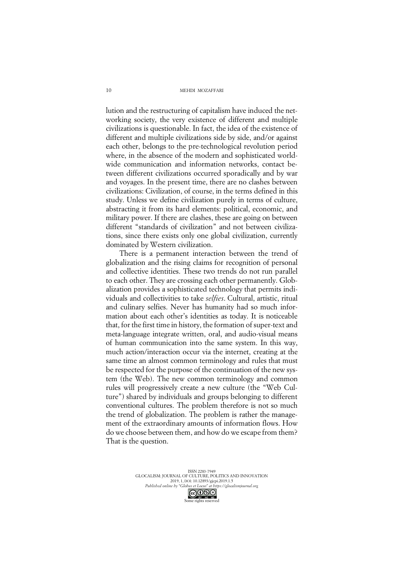MEHDI MOZAFFARI

lution and the restructuring of capitalism have induced the networking society, the very existence of different and multiple civilizations is questionable. In fact, the idea of the existence of different and multiple civilizations side by side, and/or against each other, belongs to the pre-technological revolution period where, in the absence of the modern and sophisticated worldwide communication and information networks, contact between different civilizations occurred sporadically and by war and voyages. In the present time, there are no clashes between civilizations: Civilization, of course, in the terms defined in this study. Unless we define civilization purely in terms of culture, abstracting it from its hard elements: political, economic, and military power. If there are clashes, these are going on between different "standards of civilization" and not between civilizations, since there exists only one global civilization, currently dominated by Western civilization.

There is a permanent interaction between the trend of globalization and the rising claims for recognition of personal and collective identities. These two trends do not run parallel to each other. They are crossing each other permanently. Globalization provides a sophisticated technology that permits individuals and collectivities to take *selfies*. Cultural, artistic, ritual and culinary selfies. Never has humanity had so much information about each other's identities as today. It is noticeable that, for the first time in history, the formation of super-text and meta-language integrate written, oral, and audio-visual means of human communication into the same system. In this way, much action/interaction occur via the internet, creating at the same time an almost common terminology and rules that must be respected for the purpose of the continuation of the new system (the Web). The new common terminology and common rules will progressively create a new culture (the "Web Culture") shared by individuals and groups belonging to different conventional cultures. The problem therefore is not so much the trend of globalization. The problem is rather the management of the extraordinary amounts of information flows. How do we choose between them, and how do we escape from them? That is the question.